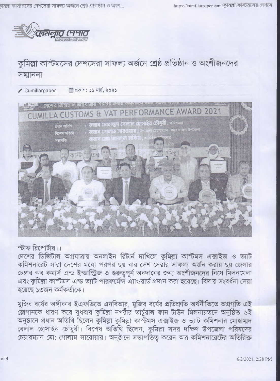

## কুমিল্লা কাস্টমসের দেশসেরা সাফল্য অর্জনে শ্রেষ্ঠ প্রতিষ্ঠান ও অংশীজনদের সমাননা

*/'* **Cumillarpaper** *\m^\:* **ii'STT^,**



## স্টাফ রিপোর্টার।।

দেশের ডিজিটাল অগ্রযাত্রায় অনলাইন রিটার্ন দাখিলে কুমিল্লা কাস্টমস এক্সাইজ ও ভ্যাট কমিশনারেট সারা দেশের মধ্যে পরপর ছয় বার দেশ সেরার সাফল্য অর্জন করায় ছয় জেলার চেম্বার অব কমার্স এন্ড ইন্ডাস্ট্রিজ ও গুরুতুপূর্ন অবদানের জন্য অংশীজনদের নিয়ে মিলনমেলা এবং কুমিল্লা কাস্টমস এন্ড ভ্যাট পারফর্মেন্স এ্যাওয়ার্ড প্রদান করা হয়েছে। বিদায় সংবর্ধনা দেয়া<br>হয়েছে ১৩জন কর্মকর্তাকে।

মুজিব বর্ষের অঙ্গীকার ইএফডিতে এনবিআর, মুজিব বর্ষের প্রতিশ্রুতি অর্থনীতিতে অগ্রগতি এই স্লোগানকে ধারণ করে বুধবার কুমিল্লা নগরীর ভার্চুয়াল ফান টাউন মিলনায়তনে অনুষ্ঠিত ওই অনুষ্ঠানে প্রধান অতিথি ছিলেন কুমিল্লা কুমিল্লা কাস্টমস এক্সাইজ ও ভ্যাট কমিশনার মোহাম্মদ বেলাল হোসাইন চৌধুরী। বিশেষ অতিথি ছিলেন, কুমিল্লা সদর দক্ষিণ উপজেলা পরিষদের চেয়ারম্যান মো: গোলাম সারোয়ার। অনুষ্ঠানে সভাপতিত করেন অত্র কমিশনারেটের অতিরিক্ত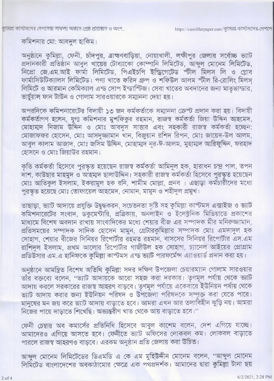কুমিল্লা কাস্টমসের দেশসেরা সাফল্য অজনে শ্রেষ্ঠ প্রাতষ্ঠান ও অংশ…

## কমিশনার মো: আবদুল হাকিম।

অনুষ্ঠানে কুমিল্লা, ফেনী, চাঁদপুর, ব্রাহ্মণবাড়িয়া, নোয়াখালী, লক্ষীপুর জেলার সর্বোচ্চ ভ্যাট প্রদানকারী প্রতিষ্ঠান আবুল খায়ের টোব্যাকো কোম্পানি লিমিটেড, আন্দুল মোনেম লিমিটেড, নিপ্ৰো জে.এম.আই ফাৰ্মা লিমিটেড, পিএইচপি ইন্ড্ৰিগেটেড স্টীল মিলস লি ও গ্লোব ফার্মাসিউটিক্যালস লিমিটেড। পণ্য খাতে ফরিদ গ্রুপ ও শফিউল আলম স্টীল রি-রোলিং মিলস্  $R$  লিমিটে ও আরমান কেমিক্যাল এন্ড সোপ ইন্ডাস্টিজ। সেবা খাতের অবদানের জন্য মাতৃভান্ডার, <u>ভাৰ্চয়াল ফান টাউন ও গোলাম সারওয়ারকে সম্মাননা দেয়া হয়।</u>

অপরদিকে কমিশনারেটের বিদায়ী ১৩ জন কর্মকর্তাকে সম্মাননা ক্রেস্ট প্রদান করা হয়। বিদায়ী কর্মকর্তাগণ হলেন, যুগা কমিশনার মুশফিকুর রহমান, রাজস্ব কর্মকর্তা জিয়া উদ্দিন আহমেদ, মোহামাদ নিজাম উদ্দিন ও মোঃ আবদুস সাত্তার এবং সহকারী রাজস্ব কর্মকর্তা হচ্ছেন: মোজাফফর হোসেন, মোঃ আসদুজ্জামান থান, বিজুয়ান রশিদ রিপন, মোঃ জায়েদ-উল আলম, আবুল কালাম আজাদ, মোঃ জসিম উদ্দিন, মোহাম্মদ নূর-ঈ-আলম, মুহাম্মদ আরিফুদ্দিন, ফরহাদ হোসনে ও মোঃ জিয়াউর রহমান।

কৃতি কর্মকতা হিসেবে পুরস্কৃত হয়েছেন রাজস্ব কর্মকর্তা আমিনুল হক, হারাধন চন্দ্র পাল, তপন দাশ, কাউছার মাহমুদ ও আইমাদ ছালাউদ্দিন। সহকারী রাজস্ব কর্মকর্তা হিসেবে পুরস্কৃত হয়েছেন মোঃ আতিকুল ইসলাম, ইকরামুল হক রনি, শামীম মোল্লা, প্রনব । এছাড়া কর্মচারীদের মধ্যে পুরস্কৃত হয়েছে মোঃ তোফায়েল আহমেদ, নোমান, মামুন ও শহীদুল প্রমুখ।

তাছাড়া, ভ্যাট আদায়ে প্রযুক্তি উদ্বুদ্ধকরন, সচেতনতা সৃষ্টি সহ কুমিল্লা কাস্টমস এক্সাইজ ও ভ্যাট কমিশনারেটের সংবাদ, ডকুমেন্টারি, প্রত্রিকায়, অনলাইন ও ইলেক্ট্রনিক মিডিয়াতে প্রকাশের মাধ্যমে বিশেষ অবদান রাখায় সাংবাদিকের মধ্যে শেয়ার বীজ এর সম্পাদক মীর মনিরুজ্জামান, প্রতিসময়ের সম্পাদক সাদিক হোসেন মামুন, গ্রেটারকুমিল্লার সম্পাদক মোঃ এমদাদুল হক সোহাগ, শেয়ার বীজের সিনিয়র রিপোর্টার রহমত রহমান, বাসসের সিনিয়র রিপোর্টার এস.এম রাশিদল ইসলাম, প্রথম আলোর রিপোর্টার গাজীউল হক সোহাগ, চ্যানেল আইয়ের প্রোগ্রাম প্রডিউসার এম.এ হানিফকে কুমিল্লা কাস্টমস এন্ড ভ্যাট পারফর্মেন্স এ্যাওয়ার্ড প্রদান করা হয়।

অনুষ্ঠানে আমন্ত্রিত বিশেষ অতিথি কুমিল্লা সদর দক্ষিণ উপজেলা চেয়ারম্যান গোলাম সারওয়ার তাঁর বক্তব্যে বলেন, "ভ্যাট আদায়কে আরো সহজ করা দরকার। তৃণমূল পর্যায় থেকে ভ্যাট আদায় করলে সরকারের রাজস্ব আহরণ বাড়বে। তৃণমূল পর্যায়ে একেবারে ইউনিয়ন পর্যায় থেকে জ্যাট আদায় করার জন্য ইউনিয়ন পরিষদ ও উপজেলা পরিষদকে সম্পক্ত করা যেতে পারে। মানুষের মন জয় করে ভ্যাট আদায় বাড়াতে হবে। আমরা এখন আর তলাবিহীন ঝুড়ি নয়। আমরা নিজের পায়ে দাড়াতে শিখেছি। অভ্যন্তরীণ খাত থেকে আয় বাডাতে হবে।"

ফেনী চেম্বার অব কমার্সের প্রতিনিধি হিসেবে আবুল কাশেম বলেন, দেশ এগিয়ে যাচ্ছে। আমাদেরও এগিয়ে আসতে হবে। ফেনীতে ভ্যাট অফিসের লোকবল কম। লোকবল বাড়াতে পারলে রাজস্ব আহরণও বাড়বে। এরকম অনুষ্ঠান প্রতি জেলায় করা উচিত।

আব্দুল মোনেম লিমিটেডের ডিএমডি এ কে এম মুহিউদ্দীন মোনেম বলেন, "আব্দুল মোনেম লিমিটেড বাংলাদেশের অবকাঠামোর ক্ষেত্রে এক পথপ্রদর্শক। আমাদের দ্বারা কুমিল্লা টানা ছয়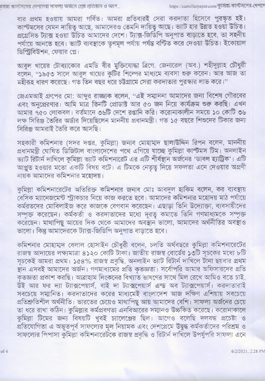বার প্রথম হওয়ায় আমরা গর্বিত। আমরা প্রতিবারই সেরা করদাতা হিসেবে পুরস্কৃত হই। কাস্টমসের যেমন দায়িতু আছে, আমাদেরও তেমনি দায়িতু আছে। ভ্যাট হার উন্নত হওয়া উচিত। প্রগ্রেসিভ ট্যাক্স হওয়া উচিত আমাদের দেশে। ট্যাক্স-জিডিপি অনুপাত বাড়াতে হবে, তা সহনীয় পর্যায়ে আনতে হবে। ভ্যাট ব্যবস্থাকে তৃণমূল পর্যায় পর্যন্ত বণ্টিত করে দেওয়া উচিত। ইকোয়াল ডিস্ট্রিবিউশন, ফেয়ার প্লে।

আবুল খায়ের টোব্যাকোর এমডি বীর মুক্তিযোদ্ধা ব্রিগে. জেনারেল (অব.) শহীদুল্লাহ চৌধুরী বলেন, "১৯৫৩ সালে আবুল থায়ের কুটির শিল্পের মাধ্যমে ব্যবসা ওরু করেন। আর আজ তা মহীরূহ ধারণ করেছে। গত তিন বছর ধরে চট্টগ্রামে সেরা করদাতার পুরস্কার লাভ করে।"

জেএমআই গ্রুপের মো: আব্দুর রাজ্জাক বলেন, "এই সম্মাননা আমাদের জন্য বিশেষ গৌরবের এবং অনুপ্রেরণার। আমি মাত্র তিনটি প্রোডাক্ট আর ৫০ জন নিয়ে কার্যক্রম শুরু করছি। এখন আমার ৭৫০ লোকবল। বর্তমানে ৩৬টি দেশে রপ্তানি করি। করোনাকালীন সময়ে ১০ কোটি ৩৬ লক্ষ সিরিঞ্জ তৈরির অর্ডার দিয়েছিলেন মাননীয় প্রধানমন্ত্রী। গত ১৫ বছরে শিশুদের টিকার জন্য সিরিঞ্জ আমরাই তৈরি করে আসছি।

সহকারী কমিশনার (সদর দপ্তর, কুমিল্লা) জনাব মোহাম্মদ ছালাউদ্দিন রিপন বলেন, মাননীয় প্রধানমন্ত্রী ঘোষিত ডিজিটাল বাংলাদেশের পথে এগিয়ে যাচ্ছে কুমিল্লা কাস্টমস টিম। অনলাইন ভ্যাট রিটার্ন দাখিলে কুমিল্লা ভ্যাট কমিশনারেট এর এটি শীর্ষস্থান অর্জনের 'ডাবল হ্যাট্রিক'। এটি আপ্লুত হওয়ার মতো একটি বিষয় বটে। এ টিমকে নেতৃত্ব দিয়ে সফলতা এনে দেওয়ার অগ্রণী নায়ক আমাদের কমিশনার মহোদয়।

কুমিল্লা কমিশনারেটের অতিরিক্ত কমিশনার জনাব মোঃ আবদুল হাকিম বলেন, কর ব্যবস্থায় বেসিক ম্যানেজমেন্ট স্ট্রাকচার নিয়ে কাজ করতে হবে। আমাদের কমিশনার মহোদয় মাঠ পর্যায়ে কর্মরতদের মোবিলাইজ করে কাজকে বেগবান করেছেন। এছাড়া তিনি উদ্যোক্তা, ব্যবসায়ীদের সম্পৃক্ত করেছেন। কর্মকর্তা ও করদাতাদের মধ্যে দূরত কমাতে তিনি গণমাধ্যমকে সম্পূক্ত করেছেন। মাথাপিছু আয়ের দিক থেকে আমাদের অবস্থান ভালো, আমাদের অর্থনীতির অবস্থাও ভালো। কিন্তু আমাদেরকে ট্যাক্স-জিডিপি অনুপাত বাড়াতে হবে।

কমিশনার মোহাম্মদ বেলাল হোসাইন চৌধুরী বলেন, চলতি অর্থবছরে কুমিল্লা কমিশনারেটের রাজস্ব আদায়ের লক্ষ্যমাত্রা ৪১২০ কোটি টাকা। জাতীয় রাজস্ব বোর্ডের ১৩টি সূচকের মধ্যে ৮টি সূচকেই আমরা প্রথম। ১৫৪% রাজস্ব প্রবৃদ্ধি, অনলাইন ভ্যাট রিটার্ন দাখিলে টানা ছয়বার প্রথম স্থান এসবই আমাদের অর্জন। গণমাধ্যমের প্রতি কৃতজ্ঞতা। সর্বোপরি আমার অফিসারদের প্রতি কৃতজ্ঞতা প্রকাশ করছি। আব্রাহাম লিংকনের বিখ্যাত ভাষণের সাথে মিল রেখে আমিও বতে চাই. উই আর ফর দ্যা ট্যাক্সপেয়ার্স, বাই দা ট্যাক্সপেয়ার্স এন্ড অব ট্যাক্সপেয়ার্স। করদাতারাই সবচেয়ে সম্মানিত। করদাতাদের করের মাধ্যমেই বাংলাদেশ আজ দক্ষিণ এশিয়ায় সবচেয়ে প্রতিশ্রুতিশীল অর্থনীতি। ভারতের চেয়েও মাথাপিছু আয় আমাদের বেশি। সাফল্য অর্জনের চেয়ে তা ধরে রাখা কঠিন। কুমিল্লার কর্মপ্রবণতা এনবিআরের সম্মানও উচ্চকিত করেছে। করোনাকালে কুমিল্লা টিমের জন্য বিষয়টি খুবই চ্যালেঞ্জের ছিল। আগেও বলেছি দলবদ্ধ প্রচেষ্টা ও প্রতিযোগিতা এ অভূতপূর্ব সাফল্যের মূল নিয়ামক এবং দেশপ্রেমে উদ্বুদ্ধ কর্মকর্তাদের পরিশ্রম ও সাফল্যের পিপাসা কুমিল্লা কমিশনারেটকে রাজস্ব প্রবৃদ্ধি ও রিটার্ন দাখিলে উপর্যুপরি সাফল্য এনে